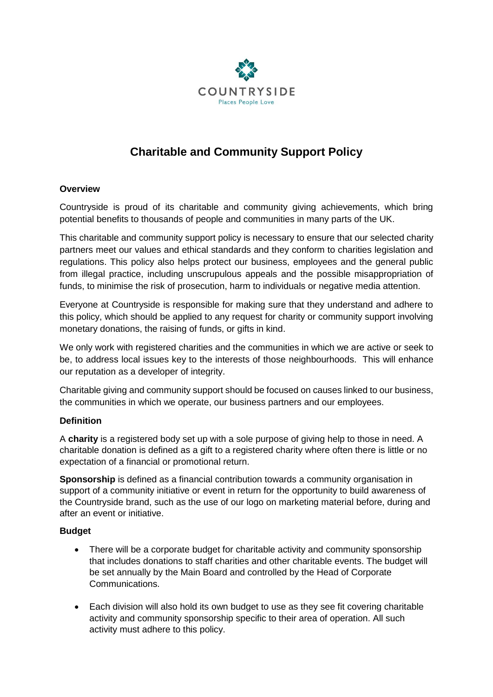

# **Charitable and Community Support Policy**

# **Overview**

Countryside is proud of its charitable and community giving achievements, which bring potential benefits to thousands of people and communities in many parts of the UK.

This charitable and community support policy is necessary to ensure that our selected charity partners meet our values and ethical standards and they conform to charities legislation and regulations. This policy also helps protect our business, employees and the general public from illegal practice, including unscrupulous appeals and the possible misappropriation of funds, to minimise the risk of prosecution, harm to individuals or negative media attention.

Everyone at Countryside is responsible for making sure that they understand and adhere to this policy, which should be applied to any request for charity or community support involving monetary donations, the raising of funds, or gifts in kind.

We only work with registered charities and the communities in which we are active or seek to be, to address local issues key to the interests of those neighbourhoods. This will enhance our reputation as a developer of integrity.

Charitable giving and community support should be focused on causes linked to our business, the communities in which we operate, our business partners and our employees.

#### **Definition**

A **charity** is a registered body set up with a sole purpose of giving help to those in need. A charitable donation is defined as a gift to a registered charity where often there is little or no expectation of a financial or promotional return.

**Sponsorship** is defined as a financial contribution towards a community organisation in support of a community initiative or event in return for the opportunity to build awareness of the Countryside brand, such as the use of our logo on marketing material before, during and after an event or initiative.

#### **Budget**

- There will be a corporate budget for charitable activity and community sponsorship that includes donations to staff charities and other charitable events. The budget will be set annually by the Main Board and controlled by the Head of Corporate Communications.
- Each division will also hold its own budget to use as they see fit covering charitable activity and community sponsorship specific to their area of operation. All such activity must adhere to this policy.